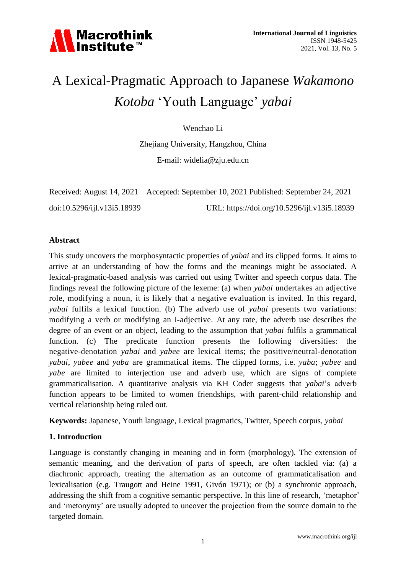# A Lexical-Pragmatic Approach to Japanese *Wakamono Kotoba* 'Youth Language' *yabai*

Wenchao Li

Zhejiang University, Hangzhou, China

E-mail: widelia@zju.edu.cn

|                             | Received: August 14, 2021 Accepted: September 10, 2021 Published: September 24, 2021 |
|-----------------------------|--------------------------------------------------------------------------------------|
| doi:10.5296/ijl.v13i5.18939 | URL: https://doi.org/10.5296/ijl.v13i5.18939                                         |

## **Abstract**

This study uncovers the morphosyntactic properties of *yabai* and its clipped forms. It aims to arrive at an understanding of how the forms and the meanings might be associated. A lexical-pragmatic-based analysis was carried out using Twitter and speech corpus data. The findings reveal the following picture of the lexeme: (a) when *yabai* undertakes an adjective role, modifying a noun, it is likely that a negative evaluation is invited. In this regard, *yabai* fulfils a lexical function. (b) The adverb use of *yabai* presents two variations: modifying a verb or modifying an i-adjective. At any rate, the adverb use describes the degree of an event or an object, leading to the assumption that *yabai* fulfils a grammatical function. (c) The predicate function presents the following diversities: the negative-denotation *yabai* and *yabee* are lexical items; the positive/neutral-denotation *yabai*, *yabee* and *yaba* are grammatical items. The clipped forms, i.e. *yaba*; *yabee* and *yabe* are limited to interjection use and adverb use, which are signs of complete grammaticalisation. A quantitative analysis via KH Coder suggests that *yabai*'s adverb function appears to be limited to women friendships, with parent-child relationship and vertical relationship being ruled out.

**Keywords:** Japanese, Youth language, Lexical pragmatics, Twitter, Speech corpus, *yabai*

## **1. Introduction**

Language is constantly changing in meaning and in form (morphology). The extension of semantic meaning, and the derivation of parts of speech, are often tackled via: (a) a diachronic approach, treating the alternation as an outcome of grammaticalisation and lexicalisation (e.g. Traugott and Heine 1991, Givón 1971); or (b) a synchronic approach, addressing the shift from a cognitive semantic perspective. In this line of research, 'metaphor' and 'metonymy' are usually adopted to uncover the projection from the source domain to the targeted domain.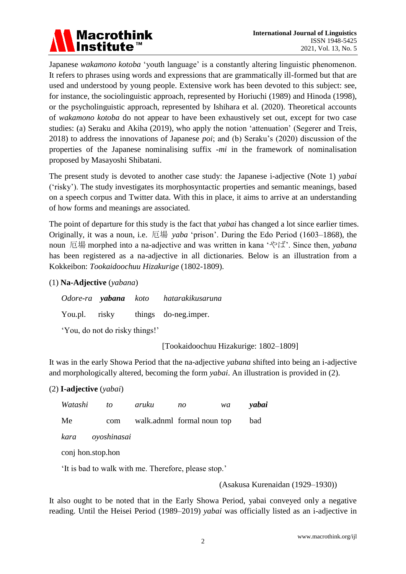

Japanese *wakamono kotoba* 'youth language' is a constantly altering linguistic phenomenon. It refers to phrases using words and expressions that are grammatically ill-formed but that are used and understood by young people. Extensive work has been devoted to this subject: see, for instance, the sociolinguistic approach, represented by Horiuchi (1989) and Hinoda (1998), or the psycholinguistic approach, represented by Ishihara et al. (2020). Theoretical accounts of *wakamono kotoba* do not appear to have been exhaustively set out, except for two case studies: (a) Seraku and Akiha (2019), who apply the notion 'attenuation' (Segerer and Treis, 2018) to address the innovations of Japanese *poi*; and (b) Seraku's (2020) discussion of the properties of the Japanese nominalising suffix *-mi* in the framework of nominalisation proposed by Masayoshi Shibatani.

The present study is devoted to another case study: the Japanese i-adjective (Note 1) *yabai* ('risky'). The study investigates its morphosyntactic properties and semantic meanings, based on a speech corpus and Twitter data. With this in place, it aims to arrive at an understanding of how forms and meanings are associated.

The point of departure for this study is the fact that *yabai* has changed a lot since earlier times. Originally, it was a noun, i.e. 厄場 *yaba* 'prison'. During the Edo Period (1603–1868), the noun 厄場 morphed into a na-adjective and was written in kana 'やば'. Since then, *yabana* has been registered as a na-adjective in all dictionaries*.* Below is an illustration from a Kokkeibon: *Tookaidoochuu Hizakurige* (1802-1809).

(1) **Na-Adjective** (*yabana*)

 *Odore-ra yabana koto hatarakikusaruna* You.pl. risky things do-neg.imper. 'You, do not do risky things!'

[Tookaidoochuu Hizakurige: 1802–1809]

It was in the early Showa Period that the na-adjective *yabana* shifted into being an i-adjective and morphologically altered, becoming the form *yabai*. An illustration is provided in (2).

## (2) **I-adjective** (*yabai*)

| Watashi | $\omega$         | aruku | no                         | wa | yabai |
|---------|------------------|-------|----------------------------|----|-------|
| Me      | com              |       | walk.adnml formal noun top |    | bad   |
|         | kara oyoshinasai |       |                            |    |       |

conj hon.stop.hon

'It is bad to walk with me. Therefore, please stop.'

(Asakusa Kurenaidan (1929–1930))

It also ought to be noted that in the Early Showa Period, yabai conveyed only a negative reading. Until the Heisei Period (1989–2019) *yabai* was officially listed as an i-adjective in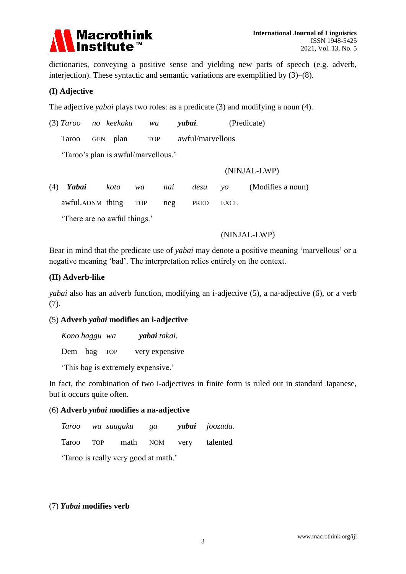

dictionaries, conveying a positive sense and yielding new parts of speech (e.g. adverb, interjection). These syntactic and semantic variations are exemplified by (3)–(8).

## **(I) Adjective**

The adjective *yabai* plays two roles: as a predicate (3) and modifying a noun (4).

(3) *Taroo no keekaku wa yabai.* (Predicate)

Taroo GEN plan TOP awful/marvellous

'Taroo's plan is awful/marvellous.'

#### (NINJAL-LWP)

(4) *Yabai koto wa nai desu yo* (Modifies a noun)

awful.ADNM thing TOP neg PRED EXCL

'There are no awful things.'

#### (NINJAL-LWP)

Bear in mind that the predicate use of *yabai* may denote a positive meaning 'marvellous' or a negative meaning 'bad'. The interpretation relies entirely on the context.

## **(II) Adverb-like**

*yabai* also has an adverb function, modifying an i-adjective (5), a na-adjective (6), or a verb (7).

## (5) **Adverb** *yabai* **modifies an i-adjective**

| Kono baggu wa | <b>yabai</b> takai. |
|---------------|---------------------|
| Dem bag TOP   | very expensive      |

'This bag is extremely expensive.'

In fact, the combination of two i-adjectives in finite form is ruled out in standard Japanese, but it occurs quite often.

## (6) **Adverb** *yabai* **modifies a na-adjective**

|  |  | Taroo wa suugaku ga <b>yabai</b> joozuda. |
|--|--|-------------------------------------------|
|  |  | Taroo TOP math NOM very talented          |

'Taroo is really very good at math.'

## (7) *Yabai* **modifies verb**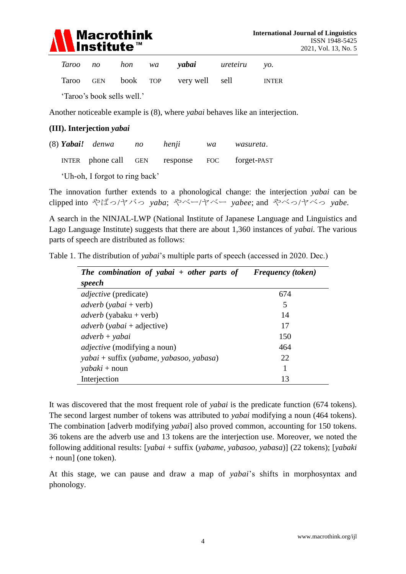

|  |  | Taroo no hon wa <b>yabai</b> ureteiru yo. |  |
|--|--|-------------------------------------------|--|
|  |  | Taroo GEN book TOP very well sell INTER   |  |

'Taroo's book sells well.'

Another noticeable example is (8), where *yabai* behaves like an interjection.

#### **(III). Interjection** *yabai*

|  | (8) Yabai! denwa     | no | henji        | wa | wasureta.   |
|--|----------------------|----|--------------|----|-------------|
|  | INTER phone call GEN |    | response FOC |    | forget-PAST |

'Uh-oh, I forgot to ring back'

The innovation further extends to a phonological change: the interjection *yabai* can be clipped into やばっ/ヤバっ *yaba*; やベー/ヤベー *yabee*; and やベっ/ヤベっ *yabe.*

A search in the NINJAL-LWP (National Institute of Japanese Language and Linguistics and Lago Language Institute) suggests that there are about 1,360 instances of *yabai.* The various parts of speech are distributed as follows:

|  | Table 1. The distribution of yabai's multiple parts of speech (accessed in 2020. Dec.) |  |  |  |  |  |  |
|--|----------------------------------------------------------------------------------------|--|--|--|--|--|--|
|  |                                                                                        |  |  |  |  |  |  |

| The combination of yabai $+$ other parts of | <b>Frequency</b> (token) |
|---------------------------------------------|--------------------------|
| speech                                      |                          |
| <i>adjective</i> (predicate)                | 674                      |
| $adverb$ (yabai + verb)                     | 5                        |
| $adverb$ (yabaku + verb)                    | 14                       |
| $adverb$ (yabai + adjective)                | 17                       |
| $adverb + yabai$                            | 150                      |
| <i>adjective</i> (modifying a noun)         | 464                      |
| yabai + suffix (yabame, yabasoo, yabasa)    | 22                       |
| $yabaki + noun$                             |                          |
| Interjection                                | 13                       |

It was discovered that the most frequent role of *yabai* is the predicate function (674 tokens). The second largest number of tokens was attributed to *yabai* modifying a noun (464 tokens). The combination [adverb modifying *yabai*] also proved common, accounting for 150 tokens. 36 tokens are the adverb use and 13 tokens are the interjection use. Moreover, we noted the following additional results: [*yabai* + suffix (*yabame, yabasoo, yabasa*)] (22 tokens); [*yabaki*  + noun] (one token).

At this stage, we can pause and draw a map of *yabai*'s shifts in morphosyntax and phonology.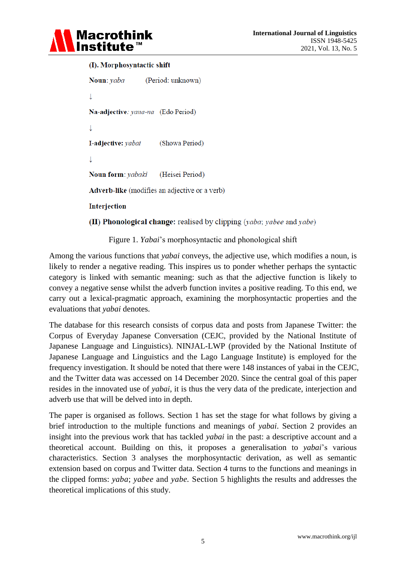

#### (I). Morphosyntactic shift

```
Noun: vaba
                   (Period: unknown)
\downarrowNa-adjective: vana-na (Edo Period)
\perpI-adjective: yabai
                        (Showa Period)
\downarrowNoun form: yabaki
                       (Heisei Period)
Adverb-like (modifies an adjective or a verb)
Interjection
(II) Phonological change: realised by clipping (vaba; vabee and vabe)
```
Figure 1. *Yabai*'s morphosyntactic and phonological shift

Among the various functions that *yabai* conveys, the adjective use, which modifies a noun, is likely to render a negative reading. This inspires us to ponder whether perhaps the syntactic category is linked with semantic meaning: such as that the adjective function is likely to convey a negative sense whilst the adverb function invites a positive reading. To this end, we carry out a lexical-pragmatic approach, examining the morphosyntactic properties and the evaluations that *yabai* denotes.

The database for this research consists of corpus data and posts from Japanese Twitter: the Corpus of Everyday Japanese Conversation (CEJC, provided by the National Institute of Japanese Language and Linguistics). NINJAL-LWP (provided by the National Institute of Japanese Language and Linguistics and the Lago Language Institute) is employed for the frequency investigation. It should be noted that there were 148 instances of yabai in the CEJC, and the Twitter data was accessed on 14 December 2020. Since the central goal of this paper resides in the innovated use of *yabai*, it is thus the very data of the predicate, interjection and adverb use that will be delved into in depth.

The paper is organised as follows. Section 1 has set the stage for what follows by giving a brief introduction to the multiple functions and meanings of *yabai*. Section 2 provides an insight into the previous work that has tackled *yabai* in the past: a descriptive account and a theoretical account. Building on this, it proposes a generalisation to *yabai*'s various characteristics. Section 3 analyses the morphosyntactic derivation, as well as semantic extension based on corpus and Twitter data. Section 4 turns to the functions and meanings in the clipped forms: *yaba*; *yabee* and *yabe.* Section 5 highlights the results and addresses the theoretical implications of this study.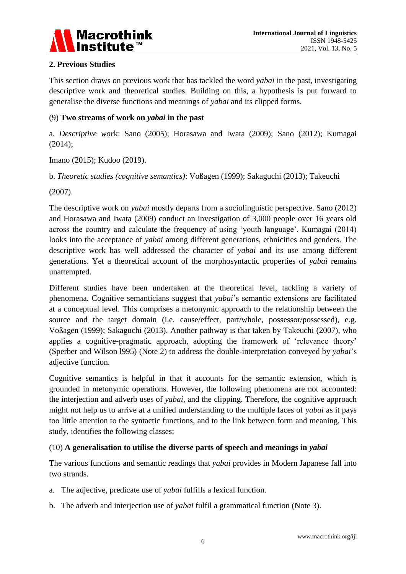

## **2. Previous Studies**

This section draws on previous work that has tackled the word *yabai* in the past, investigating descriptive work and theoretical studies. Building on this, a hypothesis is put forward to generalise the diverse functions and meanings of *yabai* and its clipped forms.

## (9) **Two streams of work on** *yabai* **in the past**

a. *Descriptive wor*k: Sano (2005); Horasawa and Iwata (2009); Sano (2012); Kumagai (2014);

Imano (2015); Kudoo (2019).

b. *Theoretic studies (cognitive semantics)*: Voßagen (1999); Sakaguchi (2013); Takeuchi

(2007).

The descriptive work on *yabai* mostly departs from a sociolinguistic perspective. Sano (2012) and Horasawa and Iwata (2009) conduct an investigation of 3,000 people over 16 years old across the country and calculate the frequency of using 'youth language'. Kumagai (2014) looks into the acceptance of *yabai* among different generations, ethnicities and genders. The descriptive work has well addressed the character of *yabai* and its use among different generations. Yet a theoretical account of the morphosyntactic properties of *yabai* remains unattempted.

Different studies have been undertaken at the theoretical level, tackling a variety of phenomena. Cognitive semanticians suggest that *yabai*'s semantic extensions are facilitated at a conceptual level. This comprises a metonymic approach to the relationship between the source and the target domain (i.e. cause/effect, part/whole, possessor/possessed), e.g. Voßagen (1999); Sakaguchi (2013). Another pathway is that taken by Takeuchi (2007), who applies a cognitive-pragmatic approach, adopting the framework of 'relevance theory' (Sperber and Wilson l995) (Note 2) to address the double-interpretation conveyed by *yabai*'s adjective function.

Cognitive semantics is helpful in that it accounts for the semantic extension, which is grounded in metonymic operations. However, the following phenomena are not accounted: the interjection and adverb uses of *yabai*, and the clipping. Therefore, the cognitive approach might not help us to arrive at a unified understanding to the multiple faces of *yabai* as it pays too little attention to the syntactic functions, and to the link between form and meaning. This study, identifies the following classes:

## (10) **A generalisation to utilise the diverse parts of speech and meanings in** *yabai*

The various functions and semantic readings that *yabai* provides in Modern Japanese fall into two strands.

- a. The adjective, predicate use of *yabai* fulfills a lexical function.
- b. The adverb and interjection use of *yabai* fulfil a grammatical function (Note 3).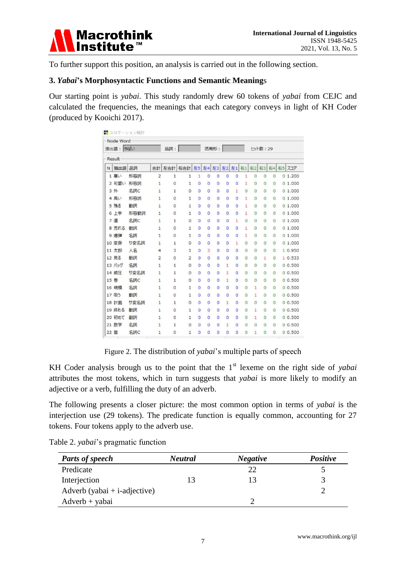

To further support this position, an analysis is carried out in the following section.

#### **3.** *Yabai***'s Morphosyntactic Functions and Semantic Meaning**s

Our starting point is *yabai*. This study randomly drew 60 tokens of *yabai* from CEJC and calculated the frequencies, the meanings that each category conveys in light of KH Coder (produced by Kooichi 2017).

|      | Node Word<br>抽出語: やばい |      |                | 品詞:          |                |                |                | 活用形:           |                |                |                |          | ヒット数: 29       |              |                                |
|------|-----------------------|------|----------------|--------------|----------------|----------------|----------------|----------------|----------------|----------------|----------------|----------|----------------|--------------|--------------------------------|
|      | Result                |      |                |              |                |                |                |                |                |                |                |          |                |              |                                |
| N    | 抽出語                   | 品詞   | 合計             | 左合計          | 右合計            | 左5             |                |                |                |                |                |          |                |              | 左4 左3 左2 左1 右1 右2 右3 右4 右5 スコア |
|      | 1 寒い                  | 形容詞  | $\overline{2}$ | 1            | $\mathbf{1}$   | 1              | $\overline{0}$ | $\overline{0}$ | $\overline{0}$ | 0              | 1              | $\circ$  | $\circ$        | 0            | 01.200                         |
|      | 2 可愛い                 | 形容詞  | $\mathbf{1}$   | $\circ$      | $\mathbf{1}$   | $\overline{0}$ | $\overline{0}$ | $\overline{0}$ | $\overline{0}$ | $\overline{0}$ | 1              | $\circ$  | $\overline{O}$ | O            | 01.000                         |
|      | 3 外                   | 名詞C  | $\mathbf{1}$   | $\mathbf{1}$ | $\circ$        | 0              | $\circ$        | O              | 0              | 1              | 0              | $\Omega$ | $\overline{0}$ | $\circ$      | 01.000                         |
|      | 4 高い                  | 形容詞  | 1              | $\circ$      | $1\,$          | $\circ$        | $\circ$        | 0              | $\circ$        | 0              | 1              | $\circ$  | $\circ$        | $\circ$      | 01.000                         |
|      | 5 残る                  | 動詞   | 1              | $\circ$      | $\mathbf{1}$   | $\overline{0}$ | ٥              | 0              | $\circ$        | $\circ$        | 1              | $\Omega$ | $\circ$        | $\circ$      | 01.000                         |
|      | 6 上手                  | 形容動詞 | $\mathbf{1}$   | $\circ$      | $\mathbf 1$    | O              | o              | o              | $\circ$        | $\circ$        | 1              | $\Omega$ | $\circ$        | $\circ$      | 01.000                         |
|      | 7 道                   | 名詞C  | $\mathbf{1}$   | 1            | $\circ$        | 0              | $\circ$        | 0              | $\overline{0}$ | 1              | 0              | $\Omega$ | $\circ$        | $\circ$      | 01.000                         |
|      | 8 売れる                 | 動詞   | 1              | $\circ$      | $1\,$          | 0              | $\circ$        | 0              | $\circ$        | $\circ$        | 1              | $\Omega$ | $\circ$        | $\circ$      | 01.000                         |
|      | 9 爆弾                  | 名詞   | $\mathbf{1}$   | $\circ$      | 1              | $\overline{0}$ | $\Omega$       | $\overline{0}$ | $\overline{0}$ | 0              | 1              | $\Omega$ | $\circ$        | $\circ$      | 0.1.000                        |
|      | 10 変身                 | サ変名詞 | $\mathbf{1}$   | 1            | 0              | $\circ$        | $\circ$        | $\circ$        | $\circ$        | $\mathbf{1}$   | 0              | 0        | $\circ$        | $\circ$      | 01.000                         |
|      | 11 太郎                 | 人名   | 4              | 3            | $\mathbf 1$    | 0              | 3              | $\circ$        | 0              | 0              | 0              | $\Omega$ | $\circ$        | $\circ$      | 1 0.950                        |
|      | 12 見る                 | 動詞   | 2              | $\circ$      | $\overline{2}$ | 0              | $\circ$        | 0              | 0              | 0              | $\Omega$       | $\circ$  | 1              | 0            | 1 0.533                        |
|      | 13 バッグ                | 名詞   | $\mathbf{1}$   | 1            | 0              | 0              | o              | 0              | 1              | 0              | 0              | 0        | $\circ$        | $\circ$      | 00.500                         |
|      | 14 威圧                 | サ変名詞 | $\mathbf{1}$   | 1            | 0              | 0              | 0              | $\circ$        | 1              | 0              | 0              | 0        | $\circ$        | $\circ$      | 00.500                         |
| 15 巻 |                       | 名詞C  | $\mathbf{1}$   | $\mathbf 1$  | $\circ$        | O              | $\circ$        | $\overline{0}$ | 1              | $\overline{0}$ | $\overline{0}$ | $\circ$  | $\overline{0}$ | $\bf{0}$     | 00.500                         |
|      | 16 規模                 | 名詞   | $\mathbf{1}$   | $\circ$      | $\mathbf 1$    | 0              | o              | $\circ$        | $\circ$        | $\circ$        | $\overline{0}$ | 1        | $\circ$        | 0            | 00.500                         |
|      | 17 吸う                 | 動詞   | $\mathbf{1}$   | $\circ$      | 1              | $\mathbf 0$    | $\overline{0}$ | $\circ$        | $\circ$        | 0              | $\circ$        | 1        | $\circ$        | $\mathbf{0}$ | 00.500                         |
|      | 18 計画                 | サ変名詞 | 1              | $\mathbf{1}$ | $\circ$        | 0              | $\circ$        | $\overline{0}$ | 1              | 0              | $\circ$        | $\circ$  | $\circ$        | 0            | 0.500                          |
|      | 19 終わる                | 動詞   | 1              | $\Omega$     | $\mathbf 1$    | $\circ$        | $\circ$        | $\Omega$       | 0              | $\circ$        | $\circ$        | 1        | $\circ$        | $\circ$      | 00.500                         |
|      | 20 初めて                | 副詞   | 1              | $\circ$      | 1              | $\circ$        | 0              | $\circ$        | $\circ$        | 0              | 0              | 1        | $\overline{0}$ | $\circ$      | 0.0.500                        |
|      | 21 数学                 | 名詞   | $\mathbf{1}$   | 1            | 0              | 0              | ٥              | 0              | 1              | 0              | 0              | $\Omega$ | $\circ$        | $\circ$      | 00.500                         |
| 22 雪 |                       | 名詞C  | 1              | 0            | $\mathbf 1$    | o              | Ō              | 0              | O              | 0              | $\circ$        | 1        | $\circ$        | 0            | 00.500                         |

Figure 2. The distribution of *yabai*'s multiple parts of speech

KH Coder analysis brough us to the point that the 1<sup>st</sup> lexeme on the right side of *yabai* attributes the most tokens, which in turn suggests that *yabai* is more likely to modify an adjective or a verb, fulfilling the duty of an adverb.

The following presents a closer picture: the most common option in terms of *yabai* is the interjection use (29 tokens). The predicate function is equally common, accounting for 27 tokens. Four tokens apply to the adverb use.

| <b>Parts of speech</b>       | <b>Neutral</b> | <b>Negative</b> | <b>Positive</b> |
|------------------------------|----------------|-----------------|-----------------|
| Predicate                    |                | 22              |                 |
| Interjection                 | 13             |                 |                 |
| Adverb (yabai + i-adjective) |                |                 |                 |
| $Adverb + yabai$             |                |                 |                 |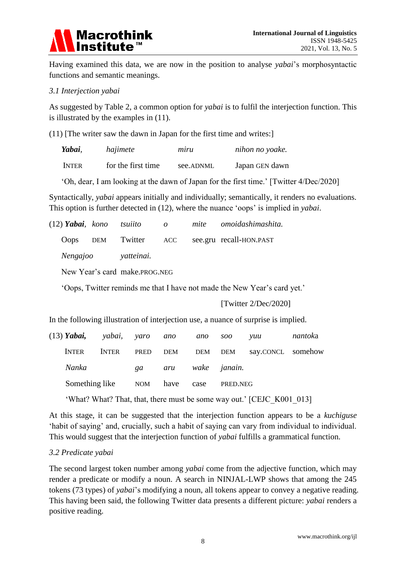

Having examined this data, we are now in the position to analyse *yabai*'s morphosyntactic functions and semantic meanings.

#### *3.1 Interjection yabai*

As suggested by Table 2, a common option for *yabai* is to fulfil the interjection function. This is illustrated by the examples in (11).

(11) [The writer saw the dawn in Japan for the first time and writes:]

| Yabai,       | hajimete           | mıru      | nihon no yoake. |
|--------------|--------------------|-----------|-----------------|
| <b>INTER</b> | for the first time | see.ADNML | Japan GEN dawn  |

'Oh, dear, I am looking at the dawn of Japan for the first time.' [Twitter 4/Dec/2020]

Syntactically, *yabai* appears initially and individually; semantically, it renders no evaluations. This option is further detected in (12), where the nuance 'oops' is implied in *yabai*.

| (12) <b>Yabai</b> , kono tsuiito |                               | $\overline{\mathcal{O}}$ | mite omoidashimashita.  |
|----------------------------------|-------------------------------|--------------------------|-------------------------|
| <b>Oops</b>                      | DEM Twitter ACC               |                          | see.gru recall-HON.PAST |
|                                  | Nengajoo vatteinai.           |                          |                         |
|                                  | New Year's card make.PROG.NEG |                          |                         |
|                                  |                               |                          |                         |

'Oops, Twitter reminds me that I have not made the New Year's card yet.'

#### [Twitter 2/Dec/2020]

In the following illustration of interjection use, a nuance of surprise is implied.

|              | (13) <b>Yabai,</b> yabai, yaro ano |      | ano                 | soo      | <i>vuu</i>                    | nantoka |
|--------------|------------------------------------|------|---------------------|----------|-------------------------------|---------|
| <b>INTER</b> | <b>INTER</b>                       | PRED |                     |          | DEM DEM DEM say.CONCL somehow |         |
| Nanka        |                                    |      | ga aru wake janain. |          |                               |         |
|              | Something like NOM have            |      | case                | PRED.NEG |                               |         |

'What? What? That, that, there must be some way out.' [CEJC\_K001\_013]

At this stage, it can be suggested that the interjection function appears to be a *kuchiguse* 'habit of saying' and, crucially, such a habit of saying can vary from individual to individual. This would suggest that the interjection function of *yabai* fulfills a grammatical function.

## *3.2 Predicate yabai*

The second largest token number among *yabai* come from the adjective function, which may render a predicate or modify a noun. A search in NINJAL-LWP shows that among the 245 tokens (73 types) of *yabai*'s modifying a noun, all tokens appear to convey a negative reading. This having been said, the following Twitter data presents a different picture: *yabai* renders a positive reading.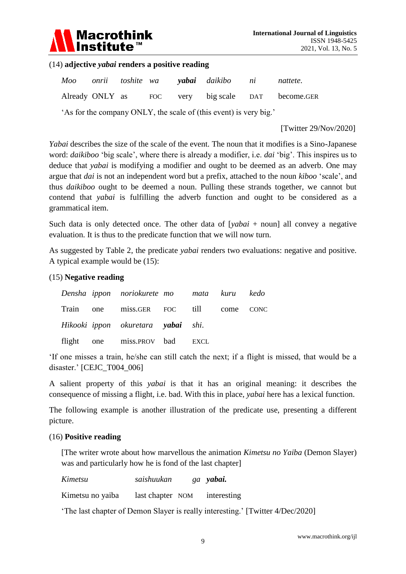

#### (14) **adjective** *yabai* **renders a positive reading**

|                                                                   |  |  |  |  | Moo onrii toshite wa <b>vabai</b> daikibo ni |  | nattete.                                          |  |  |
|-------------------------------------------------------------------|--|--|--|--|----------------------------------------------|--|---------------------------------------------------|--|--|
|                                                                   |  |  |  |  |                                              |  | Already ONLY as FOC very big scale DAT become.GER |  |  |
| 'As for the company ONLY, the scale of (this event) is very big.' |  |  |  |  |                                              |  |                                                   |  |  |

[Twitter 29/Nov/2020]

*Yabai* describes the size of the scale of the event. The noun that it modifies is a Sino-Japanese word: *daikiboo* 'big scale', where there is already a modifier, i.e. *dai* 'big'. This inspires us to deduce that *yabai* is modifying a modifier and ought to be deemed as an adverb. One may argue that *dai* is not an independent word but a prefix, attached to the noun *kiboo* 'scale', and thus *daikiboo* ought to be deemed a noun. Pulling these strands together, we cannot but contend that *yabai* is fulfilling the adverb function and ought to be considered as a grammatical item.

Such data is only detected once. The other data of [*yabai* + noun] all convey a negative evaluation. It is thus to the predicate function that we will now turn.

As suggested by Table 2, the predicate *yabai* renders two evaluations: negative and positive. A typical example would be (15):

#### (15) **Negative reading**

|  | Densha ippon noriokurete mo mata kuru kedo |  |  |
|--|--------------------------------------------|--|--|
|  | Train one miss.GER FOC till come CONC      |  |  |
|  | Hikooki ippon okuretara yabai shi.         |  |  |
|  | flight one miss.PROV bad EXCL              |  |  |

'If one misses a train, he/she can still catch the next; if a flight is missed, that would be a disaster.' [CEJC\_T004\_006]

A salient property of this *yabai* is that it has an original meaning: it describes the consequence of missing a flight, i.e. bad. With this in place, *yabai* here has a lexical function.

The following example is another illustration of the predicate use, presenting a different picture.

#### (16) **Positive reading**

[The writer wrote about how marvellous the animation *Kimetsu no Yaiba* (Demon Slayer) was and particularly how he is fond of the last chapter]

*Kimetsu saishuukan ga yabai.*

Kimetsu no yaiba last chapter NOM interesting

'The last chapter of Demon Slayer is really interesting.' [Twitter 4/Dec/2020]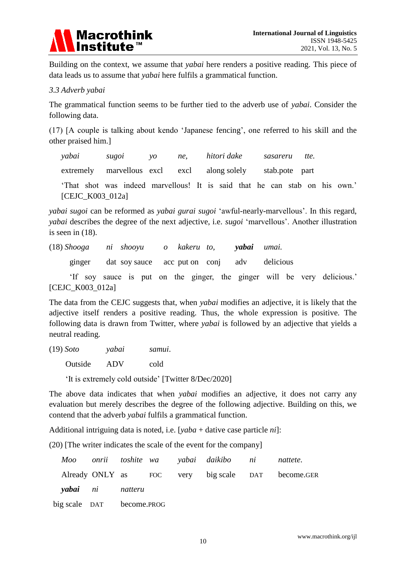

Building on the context, we assume that *yabai* here renders a positive reading. This piece of data leads us to assume that *yabai* here fulfils a grammatical function.

#### *3.3 Adverb yabai*

The grammatical function seems to be further tied to the adverb use of *yabai*. Consider the following data.

(17) [A couple is talking about kendo 'Japanese fencing', one referred to his skill and the other praised him.]

*yabai sugoi yo ne, hitori dake sasareru tte.* extremely marvellous excl excl along solely stab.pote part

'That shot was indeed marvellous! It is said that he can stab on his own.' [CEJC\_K003\_012a]

*yabai sugoi* can be reformed as *yabai gurai sugoi* 'awful-nearly-marvellous'. In this regard, *yabai* describes the degree of the next adjective, i.e. *sugoi* 'marvellous'. Another illustration is seen in (18).

(18) *Shooga ni shooyu o kakeru to, yabai umai.*

ginger dat soy sauce acc put on conj adv delicious

 'If soy sauce is put on the ginger, the ginger will be very delicious.' [CEJC\_K003\_012a]

The data from the CEJC suggests that, when *yabai* modifies an adjective, it is likely that the adjective itself renders a positive reading. Thus, the whole expression is positive. The following data is drawn from Twitter, where *yabai* is followed by an adjective that yields a neutral reading.

(19) *Soto yabai samui*.

Outside ADV cold

'It is extremely cold outside' [Twitter 8/Dec/2020]

The above data indicates that when *yabai* modifies an adjective, it does not carry any evaluation but merely describes the degree of the following adjective. Building on this, we contend that the adverb *yabai* fulfils a grammatical function.

Additional intriguing data is noted, i.e. [*yaba* + dative case particle *ni*]:

(20) [The writer indicates the scale of the event for the company]

|                           |                         |  | Moo onrii toshite wa yabai daikibo ni nattete. |                                                   |
|---------------------------|-------------------------|--|------------------------------------------------|---------------------------------------------------|
|                           |                         |  |                                                | Already ONLY as FOC very big scale DAT become.GER |
|                           | <b>yabai</b> ni natteru |  |                                                |                                                   |
| big scale DAT become.PROG |                         |  |                                                |                                                   |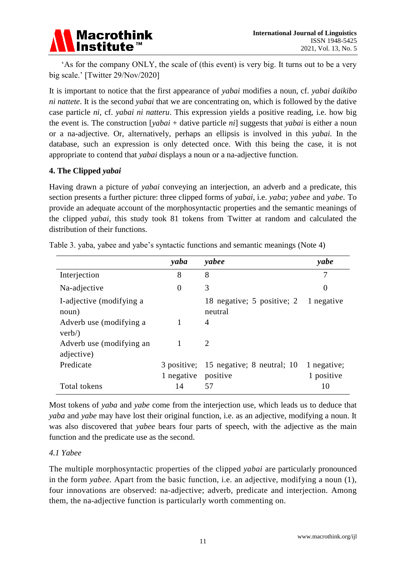

'As for the company ONLY, the scale of (this event) is very big. It turns out to be a very big scale.' [Twitter 29/Nov/2020]

It is important to notice that the first appearance of *yabai* modifies a noun, cf. *yabai daikibo ni nattete*. It is the second *yabai* that we are concentrating on, which is followed by the dative case particle *ni,* cf. *yabai ni natteru*. This expression yields a positive reading, i.e. how big the event is. The construction [*yabai* + dative particle *ni*] suggests that *yabai* is either a noun or a na-adjective. Or, alternatively, perhaps an ellipsis is involved in this *yabai.* In the database, such an expression is only detected once. With this being the case, it is not appropriate to contend that *yabai* displays a noun or a na-adjective function.

## **4. The Clipped** *yabai*

Having drawn a picture of *yabai* conveying an interjection, an adverb and a predicate, this section presents a further picture: three clipped forms of *yabai*, i.e. *yaba*; *yabee* and *yabe.* To provide an adequate account of the morphosyntactic properties and the semantic meanings of the clipped *yabai,* this study took 81 tokens from Twitter at random and calculated the distribution of their functions.

|                                        | yaba           | yabee                                              | yabe                      |
|----------------------------------------|----------------|----------------------------------------------------|---------------------------|
| Interjection                           | 8              | 8                                                  | 7                         |
| Na-adjective                           | $\overline{0}$ | 3                                                  | $\theta$                  |
| I-adjective (modifying a<br>noun)      |                | 18 negative; 5 positive; 2 1 negative<br>neutral   |                           |
| Adverb use (modifying a<br>verb)       |                | $\overline{4}$                                     |                           |
| Adverb use (modifying an<br>adjective) |                | $\mathcal{D}_{\mathcal{L}}$                        |                           |
| Predicate                              | 1 negative     | 3 positive; 15 negative; 8 neutral; 10<br>positive | 1 negative;<br>1 positive |
| Total tokens                           | 14             | 57                                                 | 10                        |

Table 3. yaba, yabee and yabe's syntactic functions and semantic meanings (Note 4)

Most tokens of *yaba* and *yabe* come from the interjection use, which leads us to deduce that *yaba* and *yabe* may have lost their original function, i.e. as an adjective, modifying a noun. It was also discovered that *yabee* bears four parts of speech, with the adjective as the main function and the predicate use as the second.

## *4.1 Yabee*

The multiple morphosyntactic properties of the clipped *yabai* are particularly pronounced in the form *yabee.* Apart from the basic function, i.e. an adjective, modifying a noun (1)*,* four innovations are observed: na-adjective; adverb, predicate and interjection. Among them, the na-adjective function is particularly worth commenting on.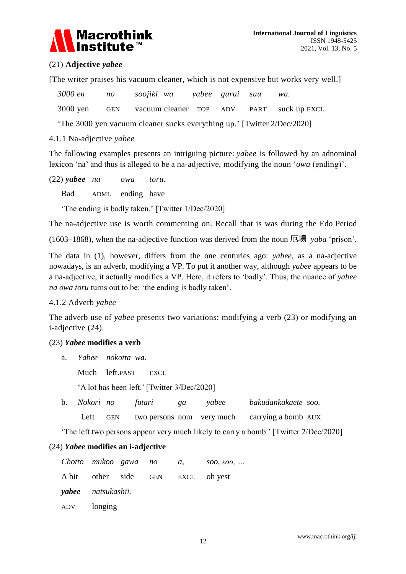

## (21) **Adjective** *yabee*

[The writer praises his vacuum cleaner, which is not expensive but works very well.]

|            | 3000 en no soojiki wa yabee gurai suu wa.             |  |                             |
|------------|-------------------------------------------------------|--|-----------------------------|
|            | 3000 yen GEN vacuum cleaner TOP ADV PART suck up EXCL |  |                             |
| $\sqrt{2}$ |                                                       |  | $\sim$ $\sim$ $\sim$ $\sim$ |

'The 3000 yen vacuum cleaner sucks everything up.' [Twitter 2/Dec/2020]

#### 4.1.1 Na-adjective *yabee*

The following examples presents an intriguing picture: *yabee* is followed by an adnominal lexicon 'na' and thus is alleged to be a na-adjective, modifying the noun '*owa* (ending)'.

(22) *yabee na owa toru.* Bad ADML ending have

'The ending is badly taken.' [Twitter 1/Dec/2020]

The na-adjective use is worth commenting on. Recall that is was during the Edo Period

(1603–1868), when the na-adjective function was derived from the noun 厄場 *yaba* 'prison'.

The data in (1), however, differs from the one centuries ago: *yabee*, as a na-adjective nowadays, is an adverb, modifying a VP. To put it another way, although *yabee* appears to be a na-adjective, it actually modifies a VP. Here, it refers to 'badly'. Thus, the nuance of *yabee na owa toru* turns out to be: 'the ending is badly taken'.

## 4.1.2 Adverb *yabee*

The adverb use of *yabee* presents two variations: modifying a verb (23) or modifying an i-adjective (24).

## (23) *Yabee* **modifies a verb**

a. *Yabee nokotta wa.* 

Much left.PAST EXCL

'A lot has been left.' [Twitter 3/Dec/2020]

| b. <i>Nokori no</i> |     | futari                    | ga | yabee | bakudankakaete soo. |  |
|---------------------|-----|---------------------------|----|-------|---------------------|--|
| Left                | GEN | two persons nom very much |    |       | carrying a bomb AUX |  |

'The left two persons appear very much likely to carry a bomb.' [Twitter 2/Dec/2020]

## (24) *Yabee* **modifies an i-adjective**

| Chotto mukoo gawa no      |  | a, soo, soo,                      |
|---------------------------|--|-----------------------------------|
|                           |  | A bit other side GEN EXCL oh yest |
| <b>yabee</b> natsukashii. |  |                                   |
| ADV longing               |  |                                   |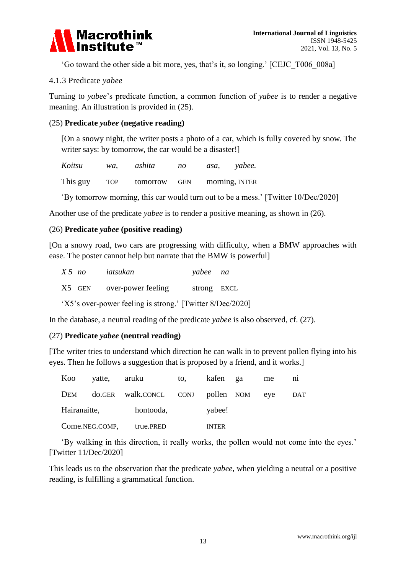

'Go toward the other side a bit more, yes, that's it, so longing.' [CEJC\_T006\_008a]

#### 4.1.3 Predicate *yabee*

Turning to *yabee*'s predicate function, a common function of *yabee* is to render a negative meaning. An illustration is provided in (25).

#### (25) **Predicate** *yabee* **(negative reading)**

[On a snowy night, the writer posts a photo of a car, which is fully covered by snow. The writer says: by tomorrow, the car would be a disaster!

| Koitsu   | wa.        | ashita   | no         | asa, | yabee.         |
|----------|------------|----------|------------|------|----------------|
| This guy | <b>TOP</b> | tomorrow | <b>GEN</b> |      | morning, INTER |

'By tomorrow morning, this car would turn out to be a mess.' [Twitter 10/Dec/2020]

Another use of the predicate *yabee* is to render a positive meaning, as shown in (26).

#### (26) **Predicate** *yabee* **(positive reading)**

[On a snowy road, two cars are progressing with difficulty, when a BMW approaches with ease. The poster cannot help but narrate that the BMW is powerful]

| $X5$ no |        | iatsukan           | yabee na    |  |
|---------|--------|--------------------|-------------|--|
|         | X5 GEN | over-power feeling | strong EXCL |  |

'X5's over-power feeling is strong.' [Twitter 8/Dec/2020]

In the database, a neutral reading of the predicate *yabee* is also observed, cf. (27).

#### (27) **Predicate** *yabee* **(neutral reading)**

[The writer tries to understand which direction he can walk in to prevent pollen flying into his eyes. Then he follows a suggestion that is proposed by a friend, and it works.]

|              | Koo yatte, aruku                          | to, kafen ga | me | $\overline{m}$ |
|--------------|-------------------------------------------|--------------|----|----------------|
|              | DEM do.GER walk.CONCL CONJ pollen NOM eye |              |    | DAT            |
| Hairanaitte, | hontooda,                                 | yabee!       |    |                |
|              | Come.NEG.COMP, true.PRED                  | <b>INTER</b> |    |                |

'By walking in this direction, it really works, the pollen would not come into the eyes.' [Twitter 11/Dec/2020]

This leads us to the observation that the predicate *yabee*, when yielding a neutral or a positive reading, is fulfilling a grammatical function.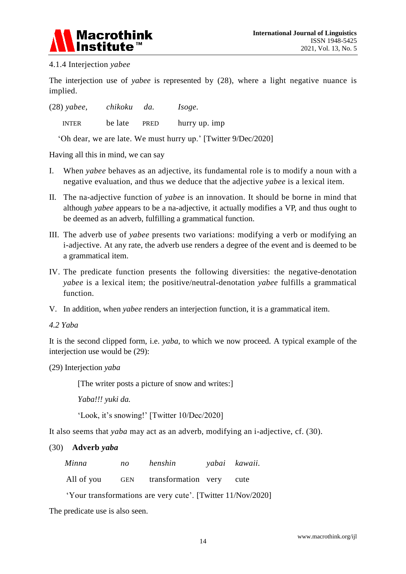

## 4.1.4 Interjection *yabee*

The interjection use of *yabee* is represented by (28), where a light negative nuance is implied.

| $(28)$ yabee, | chikoku | da.  | <i>Isoge.</i> |
|---------------|---------|------|---------------|
| <b>INTER</b>  | be late | PRED | hurry up. imp |

'Oh dear, we are late. We must hurry up.' [Twitter 9/Dec/2020]

Having all this in mind, we can say

- I. When *yabee* behaves as an adjective, its fundamental role is to modify a noun with a negative evaluation, and thus we deduce that the adjective *yabee* is a lexical item.
- II. The na-adjective function of *yabee* is an innovation. It should be borne in mind that although *yabee* appears to be a na-adjective, it actually modifies a VP, and thus ought to be deemed as an adverb, fulfilling a grammatical function.
- III. The adverb use of *yabee* presents two variations: modifying a verb or modifying an i-adjective. At any rate, the adverb use renders a degree of the event and is deemed to be a grammatical item.
- IV. The predicate function presents the following diversities: the negative-denotation *yabee* is a lexical item; the positive/neutral-denotation *yabee* fulfills a grammatical function.
- V. In addition, when *yabee* renders an interjection function, it is a grammatical item.
- *4.2 Yaba*

It is the second clipped form, i.e. *yaba*, to which we now proceed. A typical example of the interjection use would be (29):

(29) Interjection *yaba*

[The writer posts a picture of snow and writes:]

*Yaba!!! yuki da.* 

'Look, it's snowing!' [Twitter 10/Dec/2020]

It also seems that *yaba* may act as an adverb, modifying an i-adjective, cf. (30).

#### (30) **Adverb** *yaba*

| Minna | no | henshin | yabai kawaii. |  |  |
|-------|----|---------|---------------|--|--|
|       |    |         |               |  |  |

All of you GEN transformation very cute

'Your transformations are very cute'. [Twitter 11/Nov/2020]

The predicate use is also seen.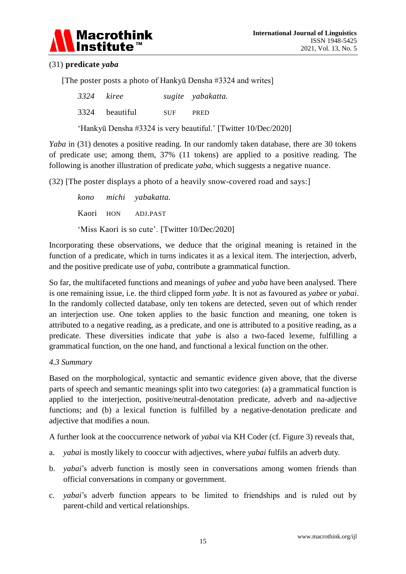

## (31) **predicate** *yaba*

[The poster posts a photo of Hankyū Densha #3324 and writes]

| 3324 kiree |                |            | sugite yabakatta.                                              |
|------------|----------------|------------|----------------------------------------------------------------|
|            | 3324 beautiful | <b>SUF</b> | <b>PRED</b>                                                    |
|            |                |            | 'Hankyū Densha #3324 is very beautiful.' [Twitter 10/Dec/2020] |

*Yaba* in (31) denotes a positive reading. In our randomly taken database, there are 30 tokens of predicate use; among them, 37% (11 tokens) are applied to a positive reading. The following is another illustration of predicate *yaba*, which suggests a negative nuance.

(32) [The poster displays a photo of a heavily snow-covered road and says:]

*kono michi yabakatta.* Kaori HON ADJ.PAST 'Miss Kaori is so cute'. [Twitter 10/Dec/2020]

Incorporating these observations, we deduce that the original meaning is retained in the function of a predicate, which in turns indicates it as a lexical item. The interjection, adverb, and the positive predicate use of *yaba,* contribute a grammatical function.

So far, the multifaceted functions and meanings of *yabee* and *yaba* have been analysed. There is one remaining issue, i.e. the third clipped form *yabe*. It is not as favoured as *yabee* or *yabai*. In the randomly collected database, only ten tokens are detected, seven out of which render an interjection use. One token applies to the basic function and meaning, one token is attributed to a negative reading, as a predicate, and one is attributed to a positive reading, as a predicate. These diversities indicate that *yabe* is also a two-faced lexeme, fulfilling a grammatical function, on the one hand, and functional a lexical function on the other.

#### *4.3 Summary*

Based on the morphological, syntactic and semantic evidence given above, that the diverse parts of speech and semantic meanings split into two categories: (a) a grammatical function is applied to the interjection, positive/neutral-denotation predicate, adverb and na-adjective functions; and (b) a lexical function is fulfilled by a negative-denotation predicate and adjective that modifies a noun.

A further look at the cooccurrence network of *yabai* via KH Coder (cf. Figure 3) reveals that,

- a. *yabai* is mostly likely to cooccur with adjectives, where *yabai* fulfils an adverb duty.
- b. *yabai*'s adverb function is mostly seen in conversations among women friends than official conversations in company or government.
- c. *yabai*'s adverb function appears to be limited to friendships and is ruled out by parent-child and vertical relationships.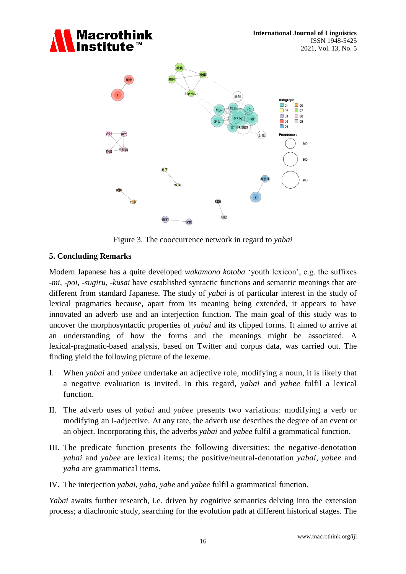





Figure 3. The cooccurrence network in regard to *yabai*

# **5. Concluding Remarks**

Modern Japanese has a quite developed *wakamono kotoba* 'youth lexicon', e.g. the suffixes *-mi, -poi, -sugiru, -kusai* have established syntactic functions and semantic meanings that are different from standard Japanese. The study of *yabai* is of particular interest in the study of lexical pragmatics because, apart from its meaning being extended, it appears to have innovated an adverb use and an interjection function. The main goal of this study was to uncover the morphosyntactic properties of *yabai* and its clipped forms. It aimed to arrive at an understanding of how the forms and the meanings might be associated. A lexical-pragmatic-based analysis, based on Twitter and corpus data, was carried out. The finding yield the following picture of the lexeme.

- I. When *yabai* and *yabee* undertake an adjective role, modifying a noun, it is likely that a negative evaluation is invited. In this regard, *yabai* and *yabee* fulfil a lexical function.
- II. The adverb uses of *yabai* and *yabee* presents two variations: modifying a verb or modifying an i-adjective. At any rate, the adverb use describes the degree of an event or an object. Incorporating this, the adverbs *yabai* and *yabee* fulfil a grammatical function.
- III. The predicate function presents the following diversities: the negative-denotation *yabai* and *yabee* are lexical items; the positive/neutral-denotation *yabai*, *yabee* and *yaba* are grammatical items.
- IV. The interjection *yabai, yaba, yabe* and *yabee* fulfil a grammatical function.

*Yabai* awaits further research, i.e. driven by cognitive semantics delving into the extension process; a diachronic study, searching for the evolution path at different historical stages. The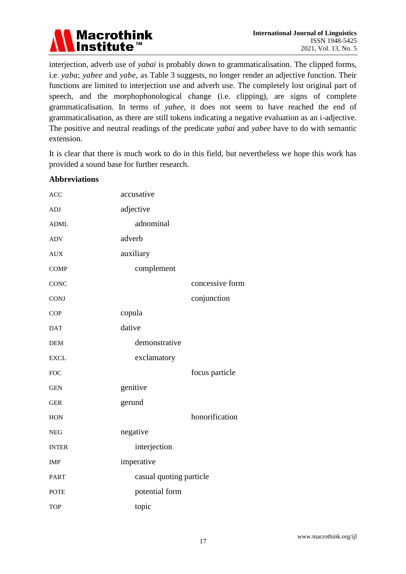

interjection, adverb use of *yabai* is probably down to grammaticalisation. The clipped forms, i.e. *yaba*; *yabee* and *yabe,* as Table 3 suggests, no longer render an adjective function. Their functions are limited to interjection use and adverb use. The completely lost original part of speech, and the morphophonological change (i.e. clipping), are signs of complete grammaticalisation. In terms of *yabee*, it does not seem to have reached the end of grammaticalisation, as there are still tokens indicating a negative evaluation as an i-adjective. The positive and neutral readings of the predicate *yabai* and *yabee* have to do with semantic extension.

It is clear that there is much work to do in this field, but nevertheless we hope this work has provided a sound base for further research.

#### **Abbreviations**

| <b>ACC</b>   | accusative              |                 |
|--------------|-------------------------|-----------------|
| <b>ADJ</b>   | adjective               |                 |
| <b>ADML</b>  | adnominal               |                 |
| <b>ADV</b>   | adverb                  |                 |
| <b>AUX</b>   | auxiliary               |                 |
| <b>COMP</b>  | complement              |                 |
| <b>CONC</b>  |                         | concessive form |
| <b>CONJ</b>  |                         | conjunction     |
| <b>COP</b>   | copula                  |                 |
| <b>DAT</b>   | dative                  |                 |
| <b>DEM</b>   | demonstrative           |                 |
| <b>EXCL</b>  | exclamatory             |                 |
| <b>FOC</b>   |                         | focus particle  |
| <b>GEN</b>   | genitive                |                 |
| <b>GER</b>   | gerund                  |                 |
| <b>HON</b>   |                         | honorification  |
| <b>NEG</b>   | negative                |                 |
| <b>INTER</b> | interjection            |                 |
| <b>IMP</b>   | imperative              |                 |
| <b>PART</b>  | casual quoting particle |                 |
| <b>POTE</b>  | potential form          |                 |
| <b>TOP</b>   | topic                   |                 |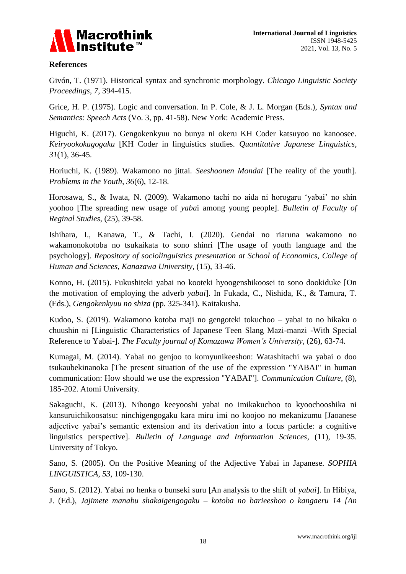

#### **References**

Givón, T. (1971). Historical syntax and synchronic morphology. *Chicago Linguistic Society Proceedings, 7*, 394-415.

Grice, H. P. (1975). Logic and conversation. In P. Cole, & J. L. Morgan (Eds.), *Syntax and Semantics: Speech Acts* (Vo. 3, pp. 41-58). New York: Academic Press.

Higuchi, K. (2017). Gengokenkyuu no bunya ni okeru KH Coder katsuyoo no kanoosee. *Keiryookokugogaku* [KH Coder in linguistics studies. *Quantitative Japanese Linguistics*, *31*(1), 36-45.

Horiuchi, K. (1989). Wakamono no jittai. *Seeshoonen Mondai* [The reality of the youth]. *Problems in the Youth*, *36*(6), 12-18.

Horosawa, S., & Iwata, N. (2009). Wakamono tachi no aida ni horogaru 'yabai' no shin yoohoo [The spreading new usage of *yaba*i among young people]. *Bulletin of Faculty of Reginal Studies*, (25), 39-58.

Ishihara, I., Kanawa, T., & Tachi, I. (2020). Gendai no riaruna wakamono no wakamonokotoba no tsukaikata to sono shinri [The usage of youth language and the psychology]. *Repository of sociolinguistics presentation at School of Economics, College of Human and Sciences, Kanazawa University,* (15), 33-46.

Konno, H. (2015). Fukushiteki yabai no kooteki hyoogenshikoosei to sono dookiduke [On the motivation of employing the adverb *yabai*]. In Fukada, C., Nishida, K., & Tamura, T. (Eds.), *Gengokenkyuu no shiza* (pp. 325-341). Kaitakusha.

Kudoo, S. (2019). Wakamono kotoba maji no gengoteki tokuchoo – yabai to no hikaku o chuushin ni [Linguistic Characteristics of Japanese Teen Slang Mazi-manzi -With Special Reference to Yabai-]. *The Faculty journal of Komazawa Women's University,* (26), 63-74.

Kumagai, M. (2014). Yabai no genjoo to komyunikeeshon: Watashitachi wa yabai o doo tsukaubekinanoka [The present situation of the use of the expression "YABAI" in human communication: How should we use the expression "YABAI"]. *Communication Culture*, (8), 185-202. Atomi University.

Sakaguchi, K. (2013). Nihongo keeyooshi yabai no imikakuchoo to kyoochooshika ni kansuruichikoosatsu: ninchigengogaku kara miru imi no koojoo no mekanizumu [Jaoanese adjective yabai's semantic extension and its derivation into a focus particle: a cognitive linguistics perspective]. *Bulletin of Language and Information Sciences,* (11), 19-35. University of Tokyo.

Sano, S. (2005). On the Positive Meaning of the Adjective Yabai in Japanese. *SOPHIA LINGUISTICA*, *53*, 109-130.

Sano, S. (2012). Yabai no henka o bunseki suru [An analysis to the shift of *yabai*]. In Hibiya, J. (Ed.), *Jajimete manabu shakaigengogaku – kotoba no barieeshon o kangaeru 14 [An*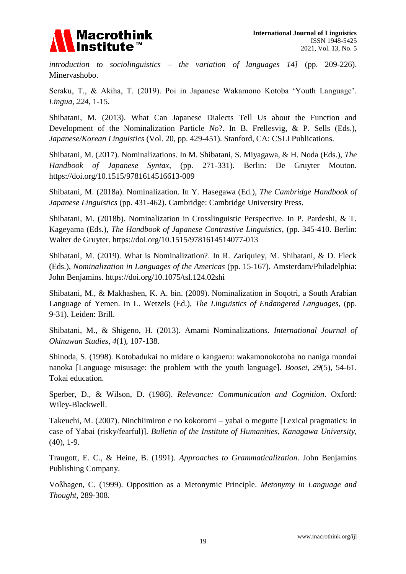

*introduction to sociolinguistics – the variation of languages 14]* (pp. 209-226). Minervashobo.

Seraku, T., & Akiha, T. (2019). Poi in Japanese Wakamono Kotoba 'Youth Language'. *Lingua, 224,* 1-15.

Shibatani, M. (2013). What Can Japanese Dialects Tell Us about the Function and Development of the Nominalization Particle *No*?. In B. Frellesvig, & P. Sells (Eds.), *Japanese/Korean Linguistics* (Vol. 20, pp. 429-451). Stanford, CA: CSLI Publications.

Shibatani, M. (2017). Nominalizations. In M. Shibatani, S. Miyagawa, & H. Noda (Eds.), *The Handbook of Japanese Syntax*, (pp. 271-331). Berlin: De Gruyter Mouton. https://doi.org/10.1515/9781614516613-009

Shibatani, M. (2018a). Nominalization. In Y. Hasegawa (Ed.), *The Cambridge Handbook of Japanese Linguistics* (pp. 431-462). Cambridge: Cambridge University Press.

Shibatani, M. (2018b). Nominalization in Crosslinguistic Perspective. In P. Pardeshi, & T. Kageyama (Eds.), *The Handbook of Japanese Contrastive Linguistics*, (pp. 345-410. Berlin: Walter de Gruyter. https://doi.org/10.1515/9781614514077-013

Shibatani, M. (2019). What is Nominalization?. In R. Zariquiey, M. Shibatani, & D. Fleck (Eds.), *Nominalization in Languages of the Americas* (pp. 15-167). Amsterdam/Philadelphia: John Benjamins. https://doi.org/10.1075/tsl.124.02shi

Shibatani, M., & Makhashen, K. A. bin. (2009). Nominalization in Soqotri, a South Arabian Language of Yemen. In L. Wetzels (Ed.), *The Linguistics of Endangered Languages*, (pp. 9-31). Leiden: Brill.

Shibatani, M., & Shigeno, H. (2013). Amami Nominalizations. *International Journal of Okinawan Studies, 4*(1), 107-138.

Shinoda, S. (1998). Kotobadukai no midare o kangaeru: wakamonokotoba no naniga mondai nanoka [Language misusage: the problem with the youth language]. *Boosei, 29*(5), 54-61. Tokai education.

Sperber, D., & Wilson, D. (1986). *Relevance: Communication and Cognition*. Oxford: Wiley-Blackwell.

Takeuchi, M. (2007). Ninchiimiron e no kokoromi – yabai o megutte [Lexical pragmatics: in case of Yabai (risky/fearful)]. *Bulletin of the Institute of Humanities, Kanagawa University*, (40), 1-9.

Traugott, E. C., & Heine, B. (1991). *Approaches to Grammaticalization*. John Benjamins Publishing Company.

Voßhagen, C. (1999). Opposition as a Metonymic Principle. *Metonymy in Language and Thought*, 289-308.